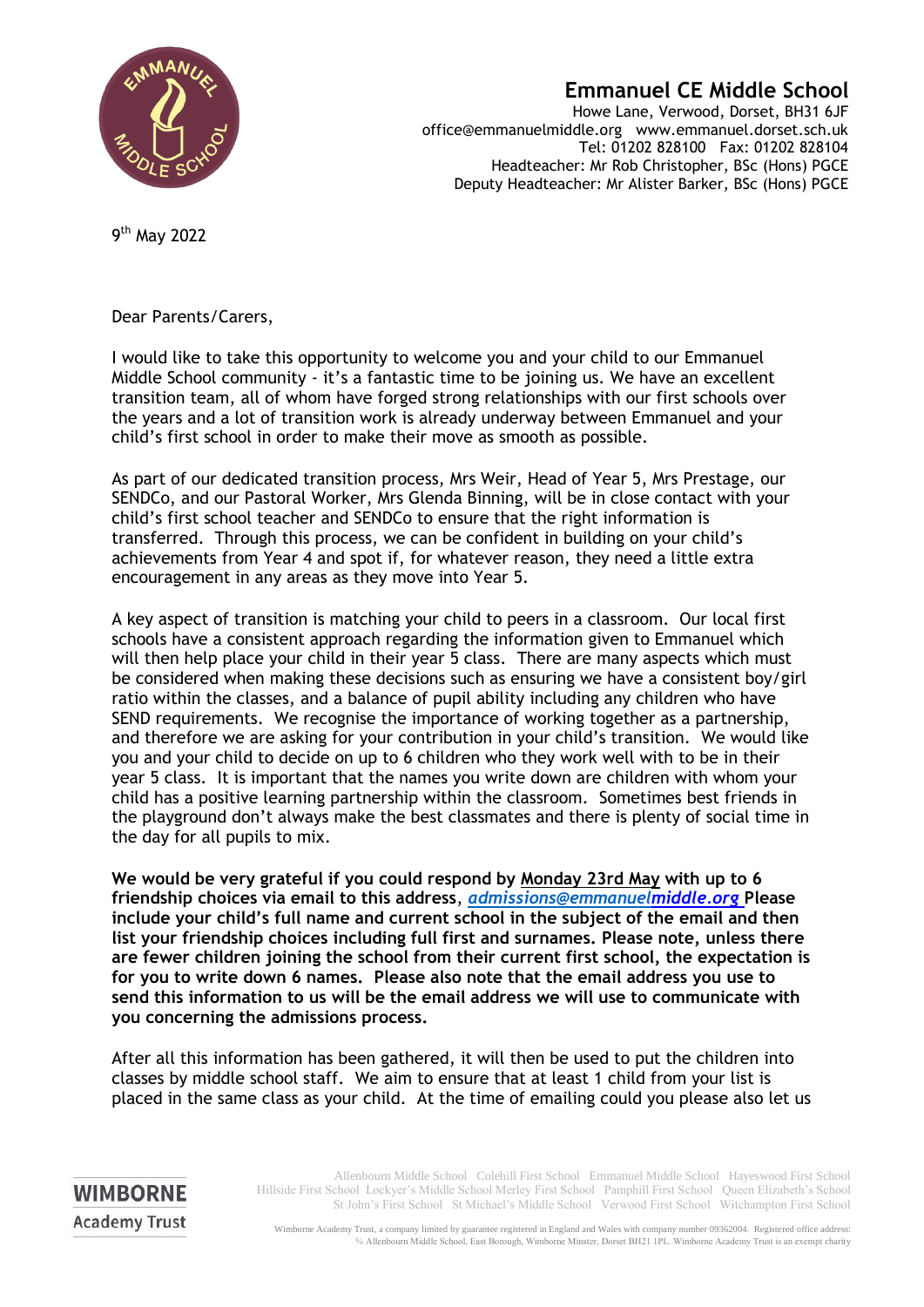

## **Emmanuel CE Middle School**

Howe Lane, Verwood, Dorset, BH31 6JF office@emmanuelmiddle.org www.emmanuel.dorset.sch.uk Tel: 01202 828100 Fax: 01202 828104 Headteacher: Mr Rob Christopher, BSc (Hons) PGCE Deputy Headteacher: Mr Alister Barker, BSc (Hons) PGCE

9<sup>th</sup> May 2022

**WIMBORNE Academy Trust** 

Dear Parents/Carers,

I would like to take this opportunity to welcome you and your child to our Emmanuel Middle School community - it's a fantastic time to be joining us. We have an excellent transition team, all of whom have forged strong relationships with our first schools over the years and a lot of transition work is already underway between Emmanuel and your child's first school in order to make their move as smooth as possible.

As part of our dedicated transition process, Mrs Weir, Head of Year 5, Mrs Prestage, our SENDCo, and our Pastoral Worker, Mrs Glenda Binning, will be in close contact with your child's first school teacher and SENDCo to ensure that the right information is transferred. Through this process, we can be confident in building on your child's achievements from Year 4 and spot if, for whatever reason, they need a little extra encouragement in any areas as they move into Year 5.

A key aspect of transition is matching your child to peers in a classroom. Our local first schools have a consistent approach regarding the information given to Emmanuel which will then help place your child in their year 5 class. There are many aspects which must be considered when making these decisions such as ensuring we have a consistent boy/girl ratio within the classes, and a balance of pupil ability including any children who have SEND requirements. We recognise the importance of working together as a partnership, and therefore we are asking for your contribution in your child's transition. We would like you and your child to decide on up to 6 children who they work well with to be in their year 5 class. It is important that the names you write down are children with whom your child has a positive learning partnership within the classroom. Sometimes best friends in the playground don't always make the best classmates and there is plenty of social time in the day for all pupils to mix.

**We would be very grateful if you could respond by Monday 23rd May with up to 6 friendship choices via email to this address**, *[admissions@emmanuelm](mailto:admissions@emmanuel)iddle.org* **Please include your child's full name and current school in the subject of the email and then list your friendship choices including full first and surnames. Please note, unless there are fewer children joining the school from their current first school, the expectation is for you to write down 6 names. Please also note that the email address you use to send this information to us will be the email address we will use to communicate with you concerning the admissions process.**

After all this information has been gathered, it will then be used to put the children into classes by middle school staff. We aim to ensure that at least 1 child from your list is placed in the same class as your child. At the time of emailing could you please also let us

> Allenbourn Middle School Colehill First School Emmanuel Middle School Hayeswood First School Hillside First School Lockyer's Middle School Merley First School Pamphill First School Queen Elizabeth's School St John's First School St Michael's Middle School Verwood First School Witchampton First School

Wimborne Academy Trust, a company limited by guarantee registered in England and Wales with company number 09362004. Registered office address: ℅ Allenbourn Middle School, East Borough, Wimborne Minster, Dorset BH21 1PL. Wimborne Academy Trust is an exempt charity